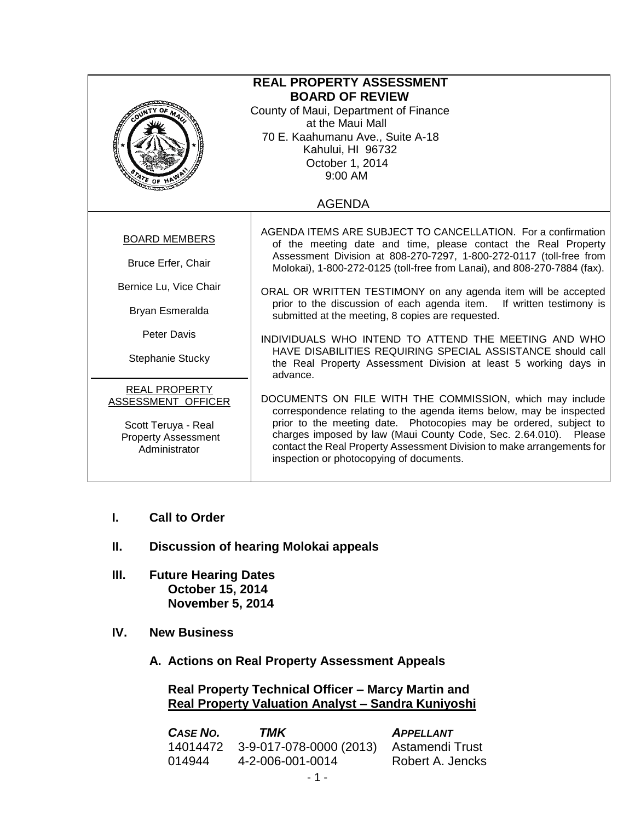| <b>REAL PROPERTY ASSESSMENT</b><br><b>BOARD OF REVIEW</b><br>County of Maui, Department of Finance<br>at the Maui Mall<br>70 E. Kaahumanu Ave., Suite A-18<br>Kahului, HI 96732<br>October 1, 2014<br>9:00 AM<br>$2r_{E}$ of $H$ |                                                                                                                                                                                                                                                                                                                                                                                                                                                                                                                                                                                                                                                                           |  |
|----------------------------------------------------------------------------------------------------------------------------------------------------------------------------------------------------------------------------------|---------------------------------------------------------------------------------------------------------------------------------------------------------------------------------------------------------------------------------------------------------------------------------------------------------------------------------------------------------------------------------------------------------------------------------------------------------------------------------------------------------------------------------------------------------------------------------------------------------------------------------------------------------------------------|--|
| <b>AGENDA</b>                                                                                                                                                                                                                    |                                                                                                                                                                                                                                                                                                                                                                                                                                                                                                                                                                                                                                                                           |  |
| <b>BOARD MEMBERS</b><br><b>Bruce Erfer, Chair</b><br>Bernice Lu, Vice Chair<br>Bryan Esmeralda<br>Peter Davis<br>Stephanie Stucky                                                                                                | AGENDA ITEMS ARE SUBJECT TO CANCELLATION. For a confirmation<br>of the meeting date and time, please contact the Real Property<br>Assessment Division at 808-270-7297, 1-800-272-0117 (toll-free from<br>Molokai), 1-800-272-0125 (toll-free from Lanai), and 808-270-7884 (fax).<br>ORAL OR WRITTEN TESTIMONY on any agenda item will be accepted<br>prior to the discussion of each agenda item. If written testimony is<br>submitted at the meeting, 8 copies are requested.<br>INDIVIDUALS WHO INTEND TO ATTEND THE MEETING AND WHO<br>HAVE DISABILITIES REQUIRING SPECIAL ASSISTANCE should call<br>the Real Property Assessment Division at least 5 working days in |  |
| <b>REAL PROPERTY</b><br>ASSESSMENT OFFICER<br>Scott Teruya - Real<br><b>Property Assessment</b><br>Administrator                                                                                                                 | advance.<br>DOCUMENTS ON FILE WITH THE COMMISSION, which may include<br>correspondence relating to the agenda items below, may be inspected<br>prior to the meeting date. Photocopies may be ordered, subject to<br>charges imposed by law (Maui County Code, Sec. 2.64.010). Please<br>contact the Real Property Assessment Division to make arrangements for<br>inspection or photocopying of documents.                                                                                                                                                                                                                                                                |  |

- **I. Call to Order**
- **II. Discussion of hearing Molokai appeals**
- **III. Future Hearing Dates October 15, 2014 November 5, 2014**
- **IV. New Business**
	- **A. Actions on Real Property Assessment Appeals**

**Real Property Technical Officer – Marcy Martin and Real Property Valuation Analyst – Sandra Kuniyoshi**

| <b>CASE NO.</b> | TMK                              | <b>APPELLANT</b> |
|-----------------|----------------------------------|------------------|
|                 | 14014472 3-9-017-078-0000 (2013) | Astamendi Trust  |
| 014944          | 4-2-006-001-0014                 | Robert A. Jencks |